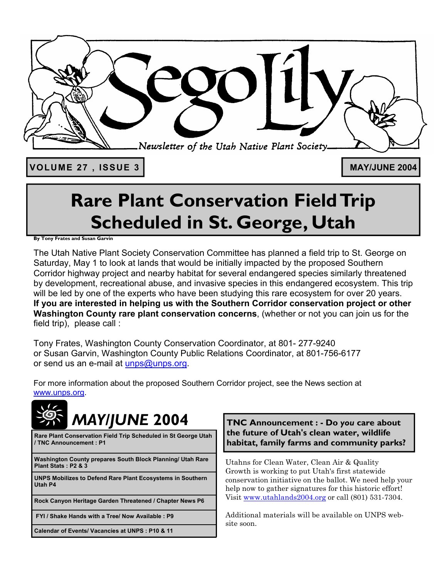

VOLUME 27, ISSUE 3 MAY/JUNE 2004

# **Rare Plant Conservation Field Trip Scheduled in St. George, Utah**

**By Tony Frates and Susan Garvin** 

The Utah Native Plant Society Conservation Committee has planned a field trip to St. George on Saturday, May 1 to look at lands that would be initially impacted by the proposed Southern Corridor highway project and nearby habitat for several endangered species similarly threatened by development, recreational abuse, and invasive species in this endangered ecosystem. This trip will be led by one of the experts who have been studying this rare ecosystem for over 20 years. **If you are interested in helping us with the Southern Corridor conservation project or other Washington County rare plant conservation concerns**, (whether or not you can join us for the field trip), please call :

Tony Frates, Washington County Conservation Coordinator, at 801- 277-9240 or Susan Garvin, Washington County Public Relations Coordinator, at 801-756-6177 or send us an e-mail at unps@unps.org.

For more information about the proposed Southern Corridor project, see the News section at www.unps.org.



**Rare Plant Conservation Field Trip Scheduled in St George Utah / TNC Announcement : P1** 

**Washington County prepares South Block Planning/ Utah Rare Plant Stats : P2 & 3** 

**UNPS Mobilizes to Defend Rare Plant Ecosystems in Southern Utah P4** 

**Rock Canyon Heritage Garden Threatened / Chapter News P6** 

 **FYI / Shake Hands with a Tree/ Now Available : P9** 

**Calendar of Events/ Vacancies at UNPS : P10 & 11** 

**TNC Announcement : - Do** *you* **care about the future of Utah's clean water, wildlife habitat, family farms and community parks?** 

Utahns for Clean Water, Clean Air & Quality Growth is working to put Utah's first statewide conservation initiative on the ballot. We need help your help now to gather signatures for this historic effort! Visit www.utahlands2004.org or call (801) 531-7304.

Additional materials will be available on UNPS website soon.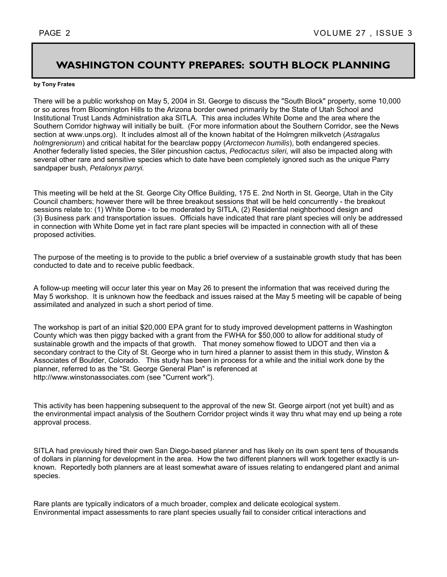### **WASHINGTON COUNTY PREPARES: SOUTH BLOCK PLANNING**

#### **by Tony Frates**

There will be a public workshop on May 5, 2004 in St. George to discuss the "South Block" property, some 10,000 or so acres from Bloomington Hills to the Arizona border owned primarily by the State of Utah School and Institutional Trust Lands Administration aka SITLA. This area includes White Dome and the area where the Southern Corridor highway will initially be built. (For more information about the Southern Corridor, see the News section at www.unps.org). It includes almost all of the known habitat of the Holmgren milkvetch (*Astragalus holmgreniorum*) and critical habitat for the bearclaw poppy (*Arctomecon humilis*), both endangered species. Another federally listed species, the Siler pincushion cactus, *Pediocactus sileri,* will also be impacted along with several other rare and sensitive species which to date have been completely ignored such as the unique Parry sandpaper bush, *Petalonyx parryi.* 

This meeting will be held at the St. George City Office Building, 175 E. 2nd North in St. George, Utah in the City Council chambers; however there will be three breakout sessions that will be held concurrently - the breakout sessions relate to: (1) White Dome - to be moderated by SITLA, (2) Residential neighborhood design and (3) Business park and transportation issues. Officials have indicated that rare plant species will only be addressed in connection with White Dome yet in fact rare plant species will be impacted in connection with all of these proposed activities.

The purpose of the meeting is to provide to the public a brief overview of a sustainable growth study that has been conducted to date and to receive public feedback.

A follow-up meeting will occur later this year on May 26 to present the information that was received during the May 5 workshop. It is unknown how the feedback and issues raised at the May 5 meeting will be capable of being assimilated and analyzed in such a short period of time.

The workshop is part of an initial \$20,000 EPA grant for to study improved development patterns in Washington County which was then piggy backed with a grant from the FWHA for \$50,000 to allow for additional study of sustainable growth and the impacts of that growth. That money somehow flowed to UDOT and then via a secondary contract to the City of St. George who in turn hired a planner to assist them in this study, Winston & Associates of Boulder, Colorado. This study has been in process for a while and the initial work done by the planner, referred to as the "St. George General Plan" is referenced at http://www.winstonassociates.com (see "Current work").

This activity has been happening subsequent to the approval of the new St. George airport (not yet built) and as the environmental impact analysis of the Southern Corridor project winds it way thru what may end up being a rote approval process.

SITLA had previously hired their own San Diego-based planner and has likely on its own spent tens of thousands of dollars in planning for development in the area. How the two different planners will work together exactly is unknown. Reportedly both planners are at least somewhat aware of issues relating to endangered plant and animal species.

Rare plants are typically indicators of a much broader, complex and delicate ecological system. Environmental impact assessments to rare plant species usually fail to consider critical interactions and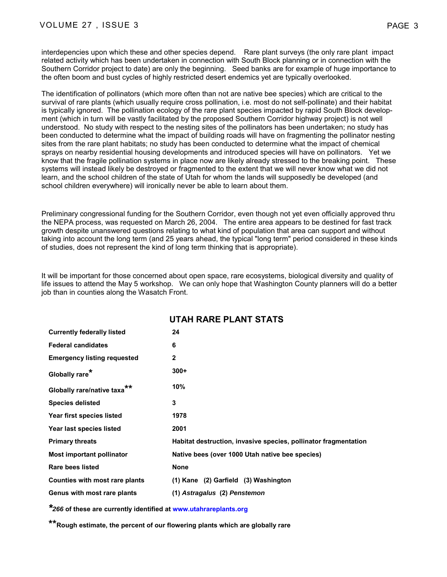interdepencies upon which these and other species depend. Rare plant surveys (the only rare plant impact related activity which has been undertaken in connection with South Block planning or in connection with the Southern Corridor project to date) are only the beginning. Seed banks are for example of huge importance to the often boom and bust cycles of highly restricted desert endemics yet are typically overlooked.

The identification of pollinators (which more often than not are native bee species) which are critical to the survival of rare plants (which usually require cross pollination, i.e. most do not self-pollinate) and their habitat is typically ignored. The pollination ecology of the rare plant species impacted by rapid South Block development (which in turn will be vastly facilitated by the proposed Southern Corridor highway project) is not well understood. No study with respect to the nesting sites of the pollinators has been undertaken; no study has been conducted to determine what the impact of building roads will have on fragmenting the pollinator nesting sites from the rare plant habitats; no study has been conducted to determine what the impact of chemical sprays on nearby residential housing developments and introduced species will have on pollinators. Yet we know that the fragile pollination systems in place now are likely already stressed to the breaking point. These systems will instead likely be destroyed or fragmented to the extent that we will never know what we did not learn, and the school children of the state of Utah for whom the lands will supposedly be developed (and school children everywhere) will ironically never be able to learn about them.

Preliminary congressional funding for the Southern Corridor, even though not yet even officially approved thru the NEPA process, was requested on March 26, 2004. The entire area appears to be destined for fast track growth despite unanswered questions relating to what kind of population that area can support and without taking into account the long term (and 25 years ahead, the typical "long term" period considered in these kinds of studies, does not represent the kind of long term thinking that is appropriate).

It will be important for those concerned about open space, rare ecosystems, biological diversity and quality of life issues to attend the May 5 workshop. We can only hope that Washington County planners will do a better job than in counties along the Wasatch Front.

|                                         | 91 AU IVAN-LEAN LYTAIV                                          |
|-----------------------------------------|-----------------------------------------------------------------|
| <b>Currently federally listed</b>       | 24                                                              |
| <b>Federal candidates</b>               | 6                                                               |
| <b>Emergency listing requested</b>      | $\mathbf{2}$                                                    |
| Globally rare*                          | $300+$                                                          |
| Globally rare/native taxa <sup>**</sup> | 10%                                                             |
| <b>Species delisted</b>                 | 3                                                               |
| Year first species listed               | 1978                                                            |
| Year last species listed                | 2001                                                            |
| <b>Primary threats</b>                  | Habitat destruction, invasive species, pollinator fragmentation |
| Most important pollinator               | Native bees (over 1000 Utah native bee species)                 |
| Rare bees listed                        | <b>None</b>                                                     |
| Counties with most rare plants          | $(1)$ Kane $(2)$ Garfield $(3)$ Washington                      |
| Genus with most rare plants             | (1) Astragalus (2) Penstemon                                    |

#### **UTAH DADE DI ANT STATS**

*\*266* **of these are currently identified at www.utahrareplants.org**

**\*\*Rough estimate, the percent of our flowering plants which are globally rare**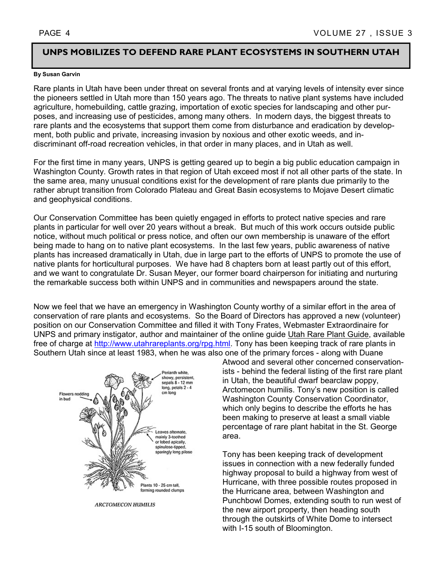#### **UNPS MOBILIZES TO DEFEND RARE PLANT ECOSYSTEMS IN SOUTHERN UTAH**

#### **By Susan Garvin**

Rare plants in Utah have been under threat on several fronts and at varying levels of intensity ever since the pioneers settled in Utah more than 150 years ago. The threats to native plant systems have included agriculture, homebuilding, cattle grazing, importation of exotic species for landscaping and other purposes, and increasing use of pesticides, among many others. In modern days, the biggest threats to rare plants and the ecosystems that support them come from disturbance and eradication by development, both public and private, increasing invasion by noxious and other exotic weeds, and indiscriminant off-road recreation vehicles, in that order in many places, and in Utah as well.

For the first time in many years, UNPS is getting geared up to begin a big public education campaign in Washington County. Growth rates in that region of Utah exceed most if not all other parts of the state. In the same area, many unusual conditions exist for the development of rare plants due primarily to the rather abrupt transition from Colorado Plateau and Great Basin ecosystems to Mojave Desert climatic and geophysical conditions.

Our Conservation Committee has been quietly engaged in efforts to protect native species and rare plants in particular for well over 20 years without a break. But much of this work occurs outside public notice, without much political or press notice, and often our own membership is unaware of the effort being made to hang on to native plant ecosystems. In the last few years, public awareness of native plants has increased dramatically in Utah, due in large part to the efforts of UNPS to promote the use of native plants for horticultural purposes. We have had 8 chapters born at least partly out of this effort, and we want to congratulate Dr. Susan Meyer, our former board chairperson for initiating and nurturing the remarkable success both within UNPS and in communities and newspapers around the state.

Now we feel that we have an emergency in Washington County worthy of a similar effort in the area of conservation of rare plants and ecosystems. So the Board of Directors has approved a new (volunteer) position on our Conservation Committee and filled it with Tony Frates, Webmaster Extraordinaire for UNPS and primary instigator, author and maintainer of the online guide Utah Rare Plant Guide, available free of charge at http://www.utahrareplants.org/rpg.html. Tony has been keeping track of rare plants in Southern Utah since at least 1983, when he was also one of the primary forces - along with Duane



**ARCTOMECON HUMILIS** 

Atwood and several other concerned conservationists - behind the federal listing of the first rare plant in Utah, the beautiful dwarf bearclaw poppy, Arctomecon humilis. Tony's new position is called Washington County Conservation Coordinator, which only begins to describe the efforts he has been making to preserve at least a small viable percentage of rare plant habitat in the St. George area.

Tony has been keeping track of development issues in connection with a new federally funded highway proposal to build a highway from west of Hurricane, with three possible routes proposed in the Hurricane area, between Washington and Punchbowl Domes, extending south to run west of the new airport property, then heading south through the outskirts of White Dome to intersect with I-15 south of Bloomington.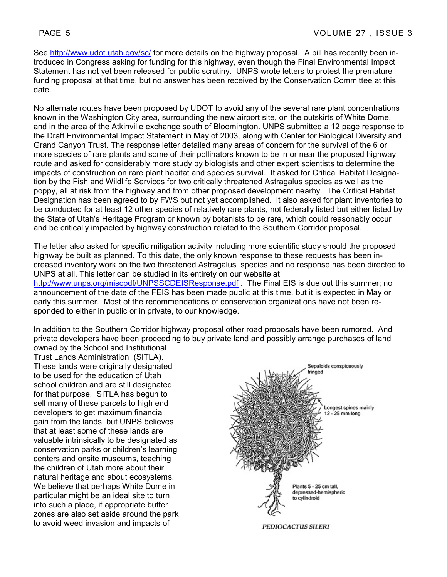See http://www.udot.utah.gov/sc/ for more details on the highway proposal. A bill has recently been introduced in Congress asking for funding for this highway, even though the Final Environmental Impact Statement has not yet been released for public scrutiny. UNPS wrote letters to protest the premature funding proposal at that time, but no answer has been received by the Conservation Committee at this date.

No alternate routes have been proposed by UDOT to avoid any of the several rare plant concentrations known in the Washington City area, surrounding the new airport site, on the outskirts of White Dome, and in the area of the Atkinville exchange south of Bloomington. UNPS submitted a 12 page response to the Draft Environmental Impact Statement in May of 2003, along with Center for Biological Diversity and Grand Canyon Trust. The response letter detailed many areas of concern for the survival of the 6 or more species of rare plants and some of their pollinators known to be in or near the proposed highway route and asked for considerably more study by biologists and other expert scientists to determine the impacts of construction on rare plant habitat and species survival. It asked for Critical Habitat Designation by the Fish and Wildlife Services for two critically threatened Astragalus species as well as the poppy, all at risk from the highway and from other proposed development nearby. The Critical Habitat Designation has been agreed to by FWS but not yet accomplished. It also asked for plant inventories to be conducted for at least 12 other species of relatively rare plants, not federally listed but either listed by the State of Utah's Heritage Program or known by botanists to be rare, which could reasonably occur and be critically impacted by highway construction related to the Southern Corridor proposal.

The letter also asked for specific mitigation activity including more scientific study should the proposed highway be built as planned. To this date, the only known response to these requests has been increased inventory work on the two threatened Astragalus species and no response has been directed to UNPS at all. This letter can be studied in its entirety on our website at http://www.unps.org/miscpdf/UNPSSCDEISResponse.pdf . The Final EIS is due out this summer; no announcement of the date of the FEIS has been made public at this time, but it is expected in May or early this summer. Most of the recommendations of conservation organizations have not been responded to either in public or in private, to our knowledge.

In addition to the Southern Corridor highway proposal other road proposals have been rumored. And private developers have been proceeding to buy private land and possibly arrange purchases of land owned by the School and Institutional

Trust Lands Administration (SITLA). These lands were originally designated to be used for the education of Utah school children and are still designated for that purpose. SITLA has begun to sell many of these parcels to high end developers to get maximum financial gain from the lands, but UNPS believes that at least some of these lands are valuable intrinsically to be designated as conservation parks or children's learning centers and onsite museums, teaching the children of Utah more about their natural heritage and about ecosystems. We believe that perhaps White Dome in particular might be an ideal site to turn into such a place, if appropriate buffer zones are also set aside around the park to avoid weed invasion and impacts of

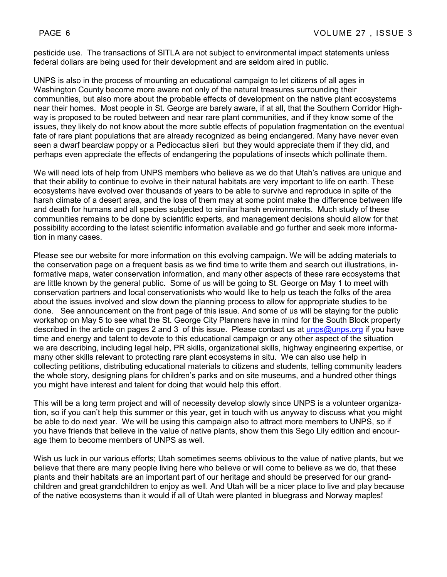pesticide use. The transactions of SITLA are not subject to environmental impact statements unless federal dollars are being used for their development and are seldom aired in public.

UNPS is also in the process of mounting an educational campaign to let citizens of all ages in Washington County become more aware not only of the natural treasures surrounding their communities, but also more about the probable effects of development on the native plant ecosystems near their homes. Most people in St. George are barely aware, if at all, that the Southern Corridor Highway is proposed to be routed between and near rare plant communities, and if they know some of the issues, they likely do not know about the more subtle effects of population fragmentation on the eventual fate of rare plant populations that are already recognized as being endangered. Many have never even seen a dwarf bearclaw poppy or a Pediocactus sileri but they would appreciate them if they did, and perhaps even appreciate the effects of endangering the populations of insects which pollinate them.

We will need lots of help from UNPS members who believe as we do that Utah's natives are unique and that their ability to continue to evolve in their natural habitats are very important to life on earth. These ecosystems have evolved over thousands of years to be able to survive and reproduce in spite of the harsh climate of a desert area, and the loss of them may at some point make the difference between life and death for humans and all species subjected to similar harsh environments. Much study of these communities remains to be done by scientific experts, and management decisions should allow for that possibility according to the latest scientific information available and go further and seek more information in many cases.

Please see our website for more information on this evolving campaign. We will be adding materials to the conservation page on a frequent basis as we find time to write them and search out illustrations, informative maps, water conservation information, and many other aspects of these rare ecosystems that are little known by the general public. Some of us will be going to St. George on May 1 to meet with conservation partners and local conservationists who would like to help us teach the folks of the area about the issues involved and slow down the planning process to allow for appropriate studies to be done. See announcement on the front page of this issue. And some of us will be staying for the public workshop on May 5 to see what the St. George City Planners have in mind for the South Block property described in the article on pages 2 and 3 of this issue. Please contact us at unps@unps.org if you have time and energy and talent to devote to this educational campaign or any other aspect of the situation we are describing, including legal help, PR skills, organizational skills, highway engineering expertise, or many other skills relevant to protecting rare plant ecosystems in situ. We can also use help in collecting petitions, distributing educational materials to citizens and students, telling community leaders the whole story, designing plans for children's parks and on site museums, and a hundred other things you might have interest and talent for doing that would help this effort.

This will be a long term project and will of necessity develop slowly since UNPS is a volunteer organization, so if you can't help this summer or this year, get in touch with us anyway to discuss what you might be able to do next year. We will be using this campaign also to attract more members to UNPS, so if you have friends that believe in the value of native plants, show them this Sego Lily edition and encourage them to become members of UNPS as well.

Wish us luck in our various efforts; Utah sometimes seems oblivious to the value of native plants, but we believe that there are many people living here who believe or will come to believe as we do, that these plants and their habitats are an important part of our heritage and should be preserved for our grandchildren and great grandchildren to enjoy as well. And Utah will be a nicer place to live and play because of the native ecosystems than it would if all of Utah were planted in bluegrass and Norway maples!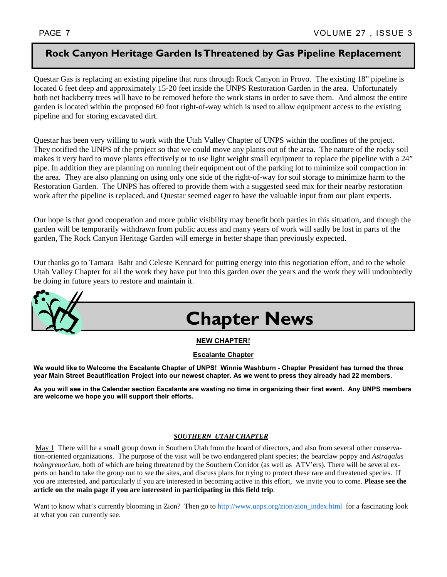#### **Rock Canyon Heritage Garden Is Threatened by Gas Pipeline Replacement**

Questar Gas is replacing an existing pipeline that runs through Rock Canyon in Provo. The existing 18" pipeline is located 6 feet deep and approximately 15-20 feet inside the UNPS Restoration Garden in the area. Unfortunately both net hackberry trees will have to be removed before the work starts in order to save them. And almost the entire garden is located within the proposed 60 foot right-of-way which is used to allow equipment access to the existing pipeline and for storing excavated dirt.

Questar has been very willing to work with the Utah Valley Chapter of UNPS within the confines of the project. They notified the UNPS of the project so that we could move any plants out of the area. The nature of the rocky soil makes it very hard to move plants effectively or to use light weight small equipment to replace the pipeline with a 24" pipe. In addition they are planning on running their equipment out of the parking lot to minimize soil compaction in the area. They are also planning on using only one side of the right-of-way for soil storage to minimize harm to the Restoration Garden. The UNPS has offered to provide them with a suggested seed mix for their nearby restoration work after the pipeline is replaced, and Questar seemed eager to have the valuable input from our plant experts.

Our hope is that good cooperation and more public visibility may benefit both parties in this situation, and though the garden will be temporarily withdrawn from public access and many years of work will sadly be lost in parts of the garden, The Rock Canyon Heritage Garden will emerge in better shape than previously expected.

Our thanks go to Tamara Bahr and Celeste Kennard for putting energy into this negotiation effort, and to the whole Utah Valley Chapter for all the work they have put into this garden over the years and the work they will undoubtedly be doing in future years to restore and maintain it.



#### **NEW CHAPTER!**

#### **Escalante Chapter**

**We would like to Welcome the Escalante Chapter of UNPS! Winnie Washburn - Chapter President has turned the three year Main Street Beautification Project into our newest chapter. As we went to press they already had 22 members.** 

**As you will see in the Calendar section Escalante are wasting no time in organizing their first event. Any UNPS members are welcome we hope you will support their efforts.** 

#### *SOUTHERN UTAH CHAPTER*

 May 1 There will be a small group down in Southern Utah from the board of directors, and also from several other conservation-oriented organizations. The purpose of the visit will be two endangered plant species; the bearclaw poppy and *Astragalus holmgrenorium*, both of which are being threatened by the Southern Corridor (as well as ATV'ers). There will be several experts on hand to take the group out to see the sites, and discuss plans for trying to protect these rare and threatened species. If you are interested, and particularly if you are interested in becoming active in this effort, we invite you to come. **Please see the article on the main page if you are interested in participating in this field trip**.

Want to know what's currently blooming in Zion? Then go to http://www.unps.org/zion/zion\_index.html for a fascinating look at what you can currently see.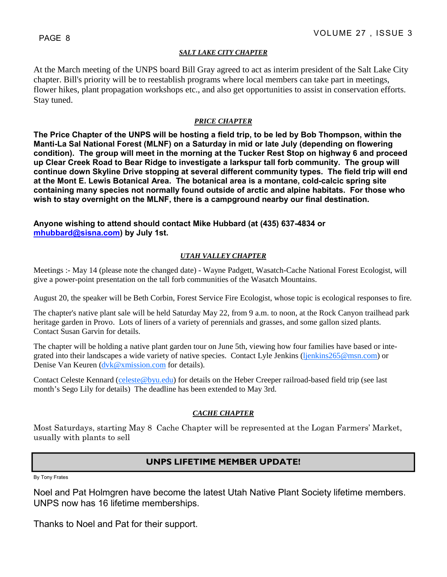#### *SALT LAKE CITY CHAPTER*

At the March meeting of the UNPS board Bill Gray agreed to act as interim president of the Salt Lake City chapter. Bill's priority will be to reestablish programs where local members can take part in meetings, flower hikes, plant propagation workshops etc., and also get opportunities to assist in conservation efforts. Stay tuned.

#### *PRICE CHAPTER*

**The Price Chapter of the UNPS will be hosting a field trip, to be led by Bob Thompson, within the Manti-La Sal National Forest (MLNF) on a Saturday in mid or late July (depending on flowering condition). The group will meet in the morning at the Tucker Rest Stop on highway 6 and proceed up Clear Creek Road to Bear Ridge to investigate a larkspur tall forb community. The group will continue down Skyline Drive stopping at several different community types. The field trip will end at the Mont E. Lewis Botanical Area. The botanical area is a montane, cold-calcic spring site containing many species not normally found outside of arctic and alpine habitats. For those who wish to stay overnight on the MLNF, there is a campground nearby our final destination.** 

#### **Anyone wishing to attend should contact Mike Hubbard (at (435) 637-4834 or mhubbard@sisna.com) by July 1st.**

#### *UTAH VALLEY CHAPTER*

Meetings :- May 14 (please note the changed date) - Wayne Padgett, Wasatch-Cache National Forest Ecologist, will give a power-point presentation on the tall forb communities of the Wasatch Mountains.

August 20, the speaker will be Beth Corbin, Forest Service Fire Ecologist, whose topic is ecological responses to fire.

The chapter's native plant sale will be held Saturday May 22, from 9 a.m. to noon, at the Rock Canyon trailhead park heritage garden in Provo. Lots of liners of a variety of perennials and grasses, and some gallon sized plants. Contact Susan Garvin for details.

The chapter will be holding a native plant garden tour on June 5th, viewing how four families have based or integrated into their landscapes a wide variety of native species. Contact Lyle Jenkins (ljenkins265@msn.com) or Denise Van Keuren (dvk@xmission.com for details).

Contact Celeste Kennard (celeste@byu.edu) for details on the Heber Creeper railroad-based field trip (see last month's Sego Lily for details) The deadline has been extended to May 3rd.

#### *CACHE CHAPTER*

Most Saturdays, starting May 8 Cache Chapter will be represented at the Logan Farmers' Market, usually with plants to sell

#### **UNPS LIFETIME MEMBER UPDATE!**

By Tony Frates

Noel and Pat Holmgren have become the latest Utah Native Plant Society lifetime members. UNPS now has 16 lifetime memberships.

Thanks to Noel and Pat for their support.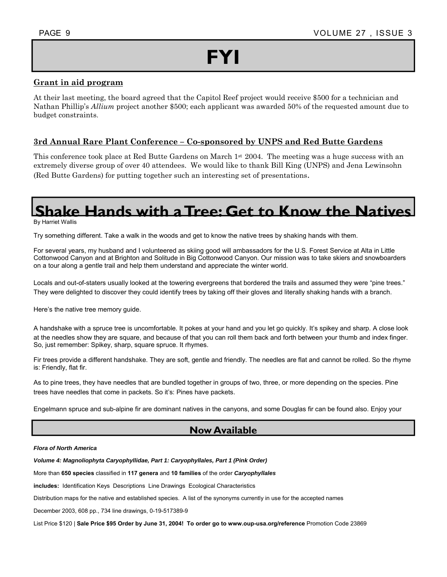# **FYI**

#### **Grant in aid program**

At their last meeting, the board agreed that the Capitol Reef project would receive \$500 for a technician and Nathan Phillip's *Allium* project another \$500; each applicant was awarded 50% of the requested amount due to budget constraints.

#### **3rd Annual Rare Plant Conference – Co-sponsored by UNPS and Red Butte Gardens**

This conference took place at Red Butte Gardens on March 1st 2004. The meeting was a huge success with an extremely diverse group of over 40 attendees. We would like to thank Bill King (UNPS) and Jena Lewinsohn (Red Butte Gardens) for putting together such an interesting set of presentations.

## **Shake Hands with a Tree: Get to Know the Natives**

By Harriet Wallis

Try something different. Take a walk in the woods and get to know the native trees by shaking hands with them.

For several years, my husband and I volunteered as skiing good will ambassadors for the U.S. Forest Service at Alta in Little Cottonwood Canyon and at Brighton and Solitude in Big Cottonwood Canyon. Our mission was to take skiers and snowboarders on a tour along a gentle trail and help them understand and appreciate the winter world.

Locals and out-of-staters usually looked at the towering evergreens that bordered the trails and assumed they were "pine trees." They were delighted to discover they could identify trees by taking off their gloves and literally shaking hands with a branch.

Here's the native tree memory guide.

A handshake with a spruce tree is uncomfortable. It pokes at your hand and you let go quickly. It's spikey and sharp. A close look at the needles show they are square, and because of that you can roll them back and forth between your thumb and index finger. So, just remember: Spikey, sharp, square spruce. It rhymes.

Fir trees provide a different handshake. They are soft, gentle and friendly. The needles are flat and cannot be rolled. So the rhyme is: Friendly, flat fir.

As to pine trees, they have needles that are bundled together in groups of two, three, or more depending on the species. Pine trees have needles that come in packets. So it's: Pines have packets.

Engelmann spruce and sub-alpine fir are dominant natives in the canyons, and some Douglas fir can be found also. Enjoy your

#### **Now Available**

#### *Flora of North America*

*Volume 4: Magnoliophyta Caryophyllidae, Part 1: Caryophyllales, Part 1 (Pink Order)* 

More than **650 species** classified in **117 genera** and **10 families** of the order *Caryophyllales* 

**includes:** Identification Keys Descriptions Line Drawings Ecological Characteristics

Distribution maps for the native and established species. A list of the synonyms currently in use for the accepted names

December 2003, 608 pp., 734 line drawings, 0-19-517389-9

List Price \$120 | **Sale Price \$95 Order by June 31, 2004! To order go to www.oup-usa.org/reference** Promotion Code 23869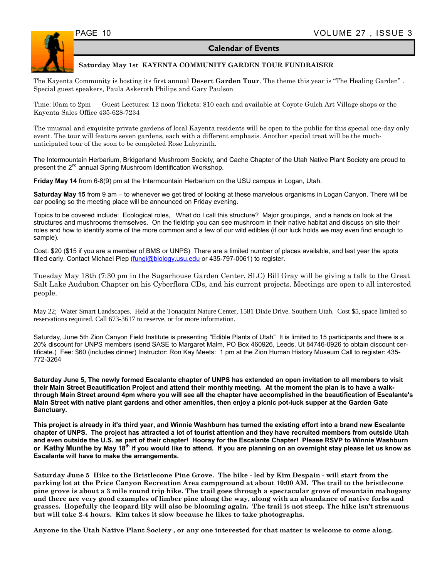#### **Calendar of Events**



#### **Saturday May 1st KAYENTA COMMUNITY GARDEN TOUR FUNDRAISER**

The Kayenta Community is hosting its first annual **Desert Garden Tour**. The theme this year is "The Healing Garden" . Special guest speakers, Paula Askeroth Philips and Gary Paulson

Time: l0am to 2pm Guest Lectures: 12 noon Tickets: \$10 each and available at Coyote Gulch Art Village shops or the Kayenta Sales Office 435-628-7234

The unusual and exquisite private gardens of local Kayenta residents will be open to the public for this special one-day only event. The tour will feature seven gardens, each with a different emphasis. Another special treat will be the muchanticipated tour of the soon to be completed Rose Labyrinth.

The Intermountain Herbarium, Bridgerland Mushroom Society, and Cache Chapter of the Utah Native Plant Society are proud to present the 2<sup>nd</sup> annual Spring Mushroom Identification Workshop.

**Friday May 14** from 6-8(9) pm at the Intermountain Herbarium on the USU campus in Logan, Utah.

**Saturday May 15** from 9 am – to whenever we get tired of looking at these marvelous organisms in Logan Canyon. There will be car pooling so the meeting place will be announced on Friday evening.

Topics to be covered include: Ecological roles, What do I call this structure? Major groupings, and a hands on look at the structures and mushrooms themselves. On the fieldtrip you can see mushroom in their native habitat and discuss on site their roles and how to identify some of the more common and a few of our wild edibles (if our luck holds we may even find enough to sample).

Cost: \$20 (\$15 if you are a member of BMS or UNPS) There are a limited number of places available, and last year the spots filled early. Contact Michael Piep (fungi@biology.usu.edu or 435-797-0061) to register.

Tuesday May 18th (7:30 pm in the Sugarhouse Garden Center, SLC) Bill Gray will be giving a talk to the Great Salt Lake Audubon Chapter on his Cyberflora CDs, and his current projects. Meetings are open to all interested people.

May 22; Water Smart Landscapes. Held at the Tonaquint Nature Center, 1581 Dixie Drive. Southern Utah. Cost \$5, space limited so reservations required. Call 673-3617 to reserve, or for more information.

Saturday, June 5th Zion Canyon Field Institute is presenting "Edible Plants of Utah" It is limited to 15 participants and there is a 20% discount for UNPS members (send SASE to Margaret Malm, PO Box 460926, Leeds, Ut 84746-0926 to obtain discount certificate.) Fee: \$60 (includes dinner) Instructor: Ron Kay Meets: 1 pm at the Zion Human History Museum Call to register: 435- 772-3264

**Saturday June 5, The newly formed Escalante chapter of UNPS has extended an open invitation to all members to visit their Main Street Beautification Project and attend their monthly meeting. At the moment the plan is to have a walkthrough Main Street around 4pm where you will see all the chapter have accomplished in the beautification of Escalante's Main Street with native plant gardens and other amenities, then enjoy a picnic pot-luck supper at the Garden Gate Sanctuary.** 

**This project is already in it's third year, and Winnie Washburn has turned the existing effort into a brand new Escalante chapter of UNPS. The project has attracted a lot of tourist attention and they have recruited members from outside Utah and even outside the U.S. as part of their chapter! Hooray for the Escalante Chapter! Please RSVP to Winnie Washburn**  or Kathy Munthe by May 18<sup>th</sup> if you would like to attend. If you are planning on an overnight stay please let us know as **Escalante will have to make the arrangements.** 

**Saturday June 5 Hike to the Bristlecone Pine Grove. The hike - led by Kim Despain - will start from the parking lot at the Price Canyon Recreation Area campground at about 10:00 AM. The trail to the bristlecone pine grove is about a 3 mile round trip hike. The trail goes through a spectacular grove of mountain mahogany and there are very good examples of limber pine along the way, along with an abundance of native forbs and grasses. Hopefully the leopard lily will also be blooming again. The trail is not steep. The hike isn't strenuous but will take 2-4 hours. Kim takes it slow because he likes to take photographs.** 

**Anyone in the Utah Native Plant Society , or any one interested for that matter is welcome to come along.**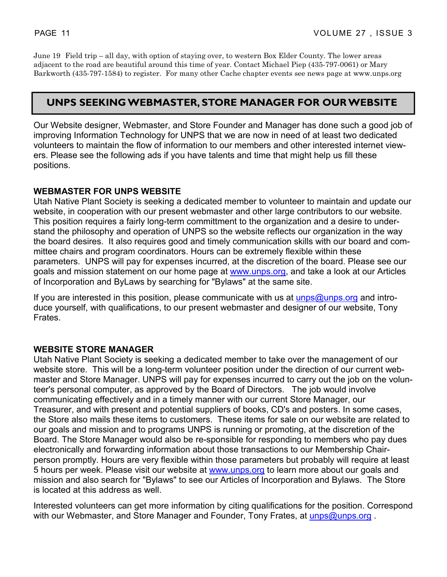June 19 Field trip – all day, with option of staying over, to western Box Elder County. The lower areas adjacent to the road are beautiful around this time of year. Contact Michael Piep (435-797-0061) or Mary Barkworth (435-797-1584) to register. For many other Cache chapter events see news page at www.unps.org

#### **UNPS SEEKING WEBMASTER, STORE MANAGER FOR OUR WEBSITE**

Our Website designer, Webmaster, and Store Founder and Manager has done such a good job of improving Information Technology for UNPS that we are now in need of at least two dedicated volunteers to maintain the flow of information to our members and other interested internet viewers. Please see the following ads if you have talents and time that might help us fill these positions.

#### **WEBMASTER FOR UNPS WEBSITE**

Utah Native Plant Society is seeking a dedicated member to volunteer to maintain and update our website, in cooperation with our present webmaster and other large contributors to our website. This position requires a fairly long-term committment to the organization and a desire to understand the philosophy and operation of UNPS so the website reflects our organization in the way the board desires. It also requires good and timely communication skills with our board and committee chairs and program coordinators. Hours can be extremely flexible within these parameters. UNPS will pay for expenses incurred, at the discretion of the board. Please see our goals and mission statement on our home page at www.unps.org, and take a look at our Articles of Incorporation and ByLaws by searching for "Bylaws" at the same site.

If you are interested in this position, please communicate with us at  $\mu_{\text{D}}$  and  $\mu_{\text{D}}$  and  $\mu_{\text{D}}$ duce yourself, with qualifications, to our present webmaster and designer of our website, Tony Frates.

#### **WEBSITE STORE MANAGER**

Utah Native Plant Society is seeking a dedicated member to take over the management of our website store. This will be a long-term volunteer position under the direction of our current webmaster and Store Manager. UNPS will pay for expenses incurred to carry out the job on the volunteer's personal computer, as approved by the Board of Directors. The job would involve communicating effectively and in a timely manner with our current Store Manager, our Treasurer, and with present and potential suppliers of books, CD's and posters. In some cases, the Store also mails these items to customers. These items for sale on our website are related to our goals and mission and to programs UNPS is running or promoting, at the discretion of the Board. The Store Manager would also be re-sponsible for responding to members who pay dues electronically and forwarding information about those transactions to our Membership Chairperson promptly. Hours are very flexible within those parameters but probably will require at least 5 hours per week. Please visit our website at www.unps.org to learn more about our goals and mission and also search for "Bylaws" to see our Articles of Incorporation and Bylaws. The Store is located at this address as well.

Interested volunteers can get more information by citing qualifications for the position. Correspond with our Webmaster, and Store Manager and Founder, Tony Frates, at unps@unps.org.